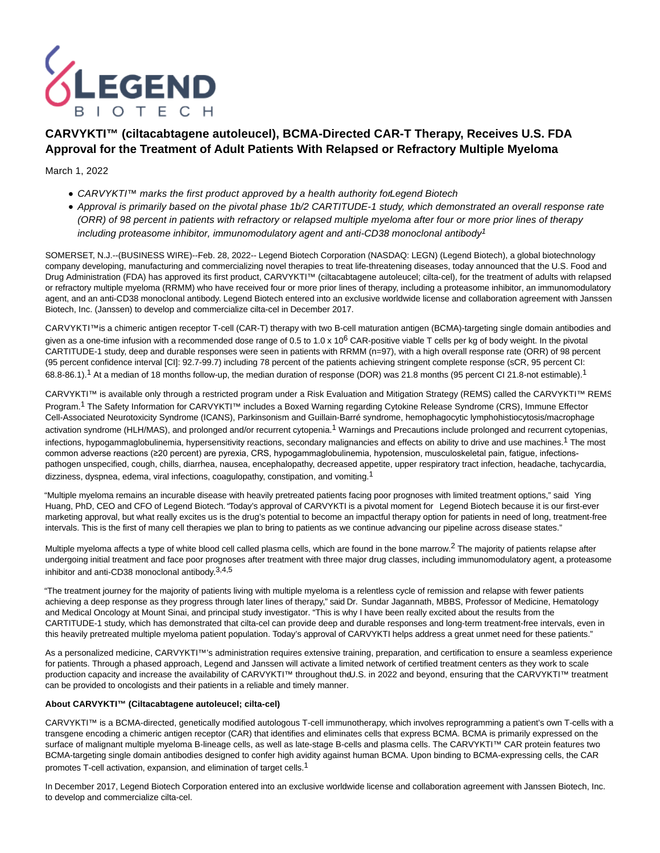

# **CARVYKTI™ (ciltacabtagene autoleucel), BCMA-Directed CAR-T Therapy, Receives U.S. FDA Approval for the Treatment of Adult Patients With Relapsed or Refractory Multiple Myeloma**

# March 1, 2022

- CARVYKTI™ marks the first product approved by a health authority for Legend Biotech
- Approval is primarily based on the pivotal phase 1b/2 CARTITUDE-1 study, which demonstrated an overall response rate (ORR) of 98 percent in patients with refractory or relapsed multiple myeloma after four or more prior lines of therapy including proteasome inhibitor, immunomodulatory agent and anti-CD38 monoclonal antibody<sup>1</sup>

SOMERSET, N.J.--(BUSINESS WIRE)--Feb. 28, 2022-- Legend Biotech Corporation (NASDAQ: LEGN) (Legend Biotech), a global biotechnology company developing, manufacturing and commercializing novel therapies to treat life-threatening diseases, today announced that the U.S. Food and Drug Administration (FDA) has approved its first product, CARVYKTI™ (ciltacabtagene autoleucel; cilta-cel), for the treatment of adults with relapsed or refractory multiple myeloma (RRMM) who have received four or more prior lines of therapy, including a proteasome inhibitor, an immunomodulatory agent, and an anti-CD38 monoclonal antibody. Legend Biotech entered into an exclusive worldwide license and collaboration agreement with Janssen Biotech, Inc. (Janssen) to develop and commercialize cilta-cel in December 2017.

CARVYKTI™is a chimeric antigen receptor T-cell (CAR-T) therapy with two B-cell maturation antigen (BCMA)-targeting single domain antibodies and given as a one-time infusion with a recommended dose range of 0.5 to 1.0 x 10<sup>6</sup> CAR-positive viable T cells per kg of body weight. In the pivotal CARTITUDE-1 study, deep and durable responses were seen in patients with RRMM (n=97), with a high overall response rate (ORR) of 98 percent (95 percent confidence interval [CI]: 92.7-99.7) including 78 percent of the patients achieving stringent complete response (sCR, 95 percent CI: 68.8-86.1).<sup>1</sup> At a median of 18 months follow-up, the median duration of response (DOR) was 21.8 months (95 percent CI 21.8-not estimable).<sup>1</sup>

CARVYKTI™ is available only through a restricted program under a Risk Evaluation and Mitigation Strategy (REMS) called the CARVYKTI™ REMS Program.1 The Safety Information for CARVYKTI™ includes a Boxed Warning regarding Cytokine Release Syndrome (CRS), Immune Effector Cell-Associated Neurotoxicity Syndrome (ICANS), Parkinsonism and Guillain-Barré syndrome, hemophagocytic lymphohistiocytosis/macrophage activation syndrome (HLH/MAS), and prolonged and/or recurrent cytopenia.1 Warnings and Precautions include prolonged and recurrent cytopenias, infections, hypogammaglobulinemia, hypersensitivity reactions, secondary malignancies and effects on ability to drive and use machines.<sup>1</sup> The most common adverse reactions (≥20 percent) are pyrexia, CRS, hypogammaglobulinemia, hypotension, musculoskeletal pain, fatigue, infectionspathogen unspecified, cough, chills, diarrhea, nausea, encephalopathy, decreased appetite, upper respiratory tract infection, headache, tachycardia, dizziness, dyspnea, edema, viral infections, coagulopathy, constipation, and vomiting.<sup>1</sup>

"Multiple myeloma remains an incurable disease with heavily pretreated patients facing poor prognoses with limited treatment options," said Ying Huang, PhD, CEO and CFO of Legend Biotech. "Today's approval of CARVYKTI is a pivotal moment for Legend Biotech because it is our first-ever marketing approval, but what really excites us is the drug's potential to become an impactful therapy option for patients in need of long, treatment-free intervals. This is the first of many cell therapies we plan to bring to patients as we continue advancing our pipeline across disease states."

Multiple myeloma affects a type of white blood cell called plasma cells, which are found in the bone marrow.<sup>2</sup> The majority of patients relapse after undergoing initial treatment and face poor prognoses after treatment with three major drug classes, including immunomodulatory agent, a proteasome inhibitor and anti-CD38 monoclonal antibody.3,4,5

"The treatment journey for the majority of patients living with multiple myeloma is a relentless cycle of remission and relapse with fewer patients achieving a deep response as they progress through later lines of therapy," said Dr. Sundar Jagannath, MBBS, Professor of Medicine, Hematology and Medical Oncology at Mount Sinai, and principal study investigator. "This is why I have been really excited about the results from the CARTITUDE-1 study, which has demonstrated that cilta-cel can provide deep and durable responses and long-term treatment-free intervals, even in this heavily pretreated multiple myeloma patient population. Today's approval of CARVYKTI helps address a great unmet need for these patients."

As a personalized medicine, CARVYKTI™'s administration requires extensive training, preparation, and certification to ensure a seamless experience for patients. Through a phased approach, Legend and Janssen will activate a limited network of certified treatment centers as they work to scale production capacity and increase the availability of CARVYKTI™ throughout the U.S. in 2022 and beyond, ensuring that the CARVYKTI™ treatment can be provided to oncologists and their patients in a reliable and timely manner.

# **About CARVYKTI™ (Ciltacabtagene autoleucel; cilta-cel)**

CARVYKTI™ is a BCMA-directed, genetically modified autologous T-cell immunotherapy, which involves reprogramming a patient's own T-cells with a transgene encoding a chimeric antigen receptor (CAR) that identifies and eliminates cells that express BCMA. BCMA is primarily expressed on the surface of malignant multiple myeloma B-lineage cells, as well as late-stage B-cells and plasma cells. The CARVYKTI™ CAR protein features two BCMA-targeting single domain antibodies designed to confer high avidity against human BCMA. Upon binding to BCMA-expressing cells, the CAR promotes T-cell activation, expansion, and elimination of target cells.1

In December 2017, Legend Biotech Corporation entered into an exclusive worldwide license and collaboration agreement with Janssen Biotech, Inc. to develop and commercialize cilta-cel.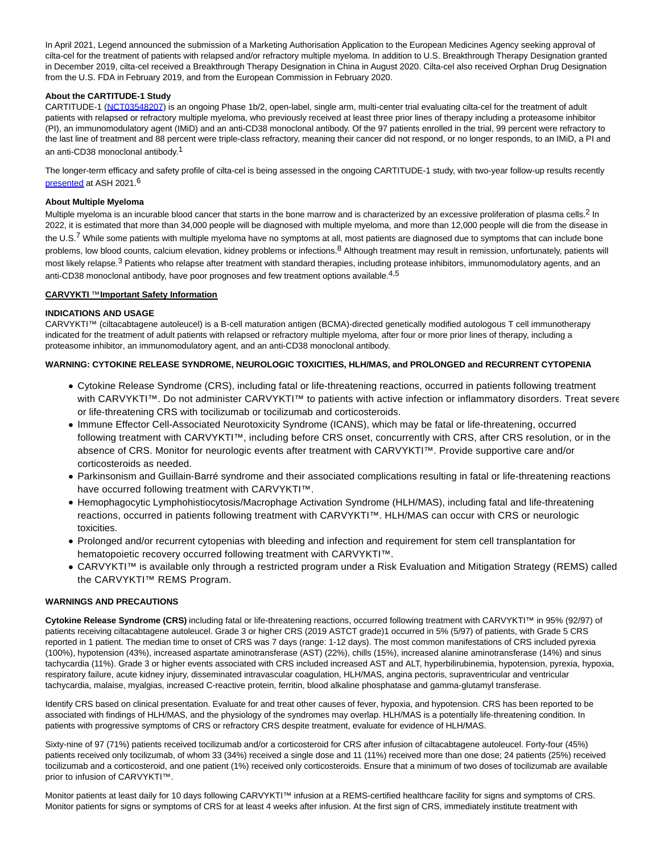In April 2021, Legend announced the submission of a Marketing Authorisation Application to the European Medicines Agency seeking approval of cilta-cel for the treatment of patients with relapsed and/or refractory multiple myeloma. In addition to U.S. Breakthrough Therapy Designation granted in December 2019, cilta-cel received a Breakthrough Therapy Designation in China in August 2020. Cilta-cel also received Orphan Drug Designation from the U.S. FDA in February 2019, and from the European Commission in February 2020.

# **About the CARTITUDE-1 Study**

CARTITUDE-1 [\(NCT03548207\)](https://cts.businesswire.com/ct/CT?id=smartlink&url=https%3A%2F%2Fclinicaltrials.gov%2Fct2%2Fshow%2FNCT03548207&esheet=52587125&newsitemid=20220228006246&lan=en-US&anchor=NCT03548207&index=1&md5=c906492b5f570c8ba04a8d690b14480f) is an ongoing Phase 1b/2, open-label, single arm, multi-center trial evaluating cilta-cel for the treatment of adult patients with relapsed or refractory multiple myeloma, who previously received at least three prior lines of therapy including a proteasome inhibitor (PI), an immunomodulatory agent (IMiD) and an anti-CD38 monoclonal antibody. Of the 97 patients enrolled in the trial, 99 percent were refractory to the last line of treatment and 88 percent were triple-class refractory, meaning their cancer did not respond, or no longer responds, to an IMiD, a PI and an anti-CD38 monoclonal antibody.1

The longer-term efficacy and safety profile of cilta-cel is being assessed in the ongoing CARTITUDE-1 study, with two-year follow-up results recently [presented a](https://cts.businesswire.com/ct/CT?id=smartlink&url=https%3A%2F%2Flegendbiotech.com%2Fwp-content%2Fuploads%2F2021%2F12%2FTwo-Year-Analysis-of-CARTITUDE-1-Shows-Early-Durable-and-Deepening-Responses-of-Ciltacabtagene-Autoleucel-cilta-cel.pdf&esheet=52587125&newsitemid=20220228006246&lan=en-US&anchor=presented&index=2&md5=20495936f64059172c9188ab2e244449)t ASH 2021.6

### **About Multiple Myeloma**

Multiple myeloma is an incurable blood cancer that starts in the bone marrow and is characterized by an excessive proliferation of plasma cells.<sup>2</sup> In 2022, it is estimated that more than 34,000 people will be diagnosed with multiple myeloma, and more than 12,000 people will die from the disease in the U.S.<sup>7</sup> While some patients with multiple myeloma have no symptoms at all, most patients are diagnosed due to symptoms that can include bone problems, low blood counts, calcium elevation, kidney problems or infections.<sup>8</sup> Although treatment may result in remission, unfortunately, patients will most likely relapse.<sup>3</sup> Patients who relapse after treatment with standard therapies, including protease inhibitors, immunomodulatory agents, and an anti-CD38 monoclonal antibody, have poor prognoses and few treatment options available.<sup>4,5</sup>

# **CARVYKTI** ™ **Important Safety Information**

# **INDICATIONS AND USAGE**

CARVYKTI™ (ciltacabtagene autoleucel) is a B-cell maturation antigen (BCMA)-directed genetically modified autologous T cell immunotherapy indicated for the treatment of adult patients with relapsed or refractory multiple myeloma, after four or more prior lines of therapy, including a proteasome inhibitor, an immunomodulatory agent, and an anti-CD38 monoclonal antibody.

# **WARNING: CYTOKINE RELEASE SYNDROME, NEUROLOGIC TOXICITIES, HLH/MAS, and PROLONGED and RECURRENT CYTOPENIA**

- Cytokine Release Syndrome (CRS), including fatal or life-threatening reactions, occurred in patients following treatment with CARVYKTI™. Do not administer CARVYKTI™ to patients with active infection or inflammatory disorders. Treat severe or life-threatening CRS with tocilizumab or tocilizumab and corticosteroids.
- Immune Effector Cell-Associated Neurotoxicity Syndrome (ICANS), which may be fatal or life-threatening, occurred following treatment with CARVYKTI™, including before CRS onset, concurrently with CRS, after CRS resolution, or in the absence of CRS. Monitor for neurologic events after treatment with CARVYKTI™. Provide supportive care and/or corticosteroids as needed.
- Parkinsonism and Guillain-Barré syndrome and their associated complications resulting in fatal or life-threatening reactions have occurred following treatment with CARVYKTI™.
- Hemophagocytic Lymphohistiocytosis/Macrophage Activation Syndrome (HLH/MAS), including fatal and life-threatening reactions, occurred in patients following treatment with CARVYKTI™. HLH/MAS can occur with CRS or neurologic toxicities.
- Prolonged and/or recurrent cytopenias with bleeding and infection and requirement for stem cell transplantation for hematopoietic recovery occurred following treatment with CARVYKTI™.
- CARVYKTI™ is available only through a restricted program under a Risk Evaluation and Mitigation Strategy (REMS) called the CARVYKTI™ REMS Program.

# **WARNINGS AND PRECAUTIONS**

**Cytokine Release Syndrome (CRS)** including fatal or life-threatening reactions, occurred following treatment with CARVYKTI™ in 95% (92/97) of patients receiving ciltacabtagene autoleucel. Grade 3 or higher CRS (2019 ASTCT grade)1 occurred in 5% (5/97) of patients, with Grade 5 CRS reported in 1 patient. The median time to onset of CRS was 7 days (range: 1-12 days). The most common manifestations of CRS included pyrexia (100%), hypotension (43%), increased aspartate aminotransferase (AST) (22%), chills (15%), increased alanine aminotransferase (14%) and sinus tachycardia (11%). Grade 3 or higher events associated with CRS included increased AST and ALT, hyperbilirubinemia, hypotension, pyrexia, hypoxia, respiratory failure, acute kidney injury, disseminated intravascular coagulation, HLH/MAS, angina pectoris, supraventricular and ventricular tachycardia, malaise, myalgias, increased C-reactive protein, ferritin, blood alkaline phosphatase and gamma-glutamyl transferase.

Identify CRS based on clinical presentation. Evaluate for and treat other causes of fever, hypoxia, and hypotension. CRS has been reported to be associated with findings of HLH/MAS, and the physiology of the syndromes may overlap. HLH/MAS is a potentially life-threatening condition. In patients with progressive symptoms of CRS or refractory CRS despite treatment, evaluate for evidence of HLH/MAS.

Sixty-nine of 97 (71%) patients received tocilizumab and/or a corticosteroid for CRS after infusion of ciltacabtagene autoleucel. Forty-four (45%) patients received only tocilizumab, of whom 33 (34%) received a single dose and 11 (11%) received more than one dose; 24 patients (25%) received tocilizumab and a corticosteroid, and one patient (1%) received only corticosteroids. Ensure that a minimum of two doses of tocilizumab are available prior to infusion of CARVYKTI™.

Monitor patients at least daily for 10 days following CARVYKTI™ infusion at a REMS-certified healthcare facility for signs and symptoms of CRS. Monitor patients for signs or symptoms of CRS for at least 4 weeks after infusion. At the first sign of CRS, immediately institute treatment with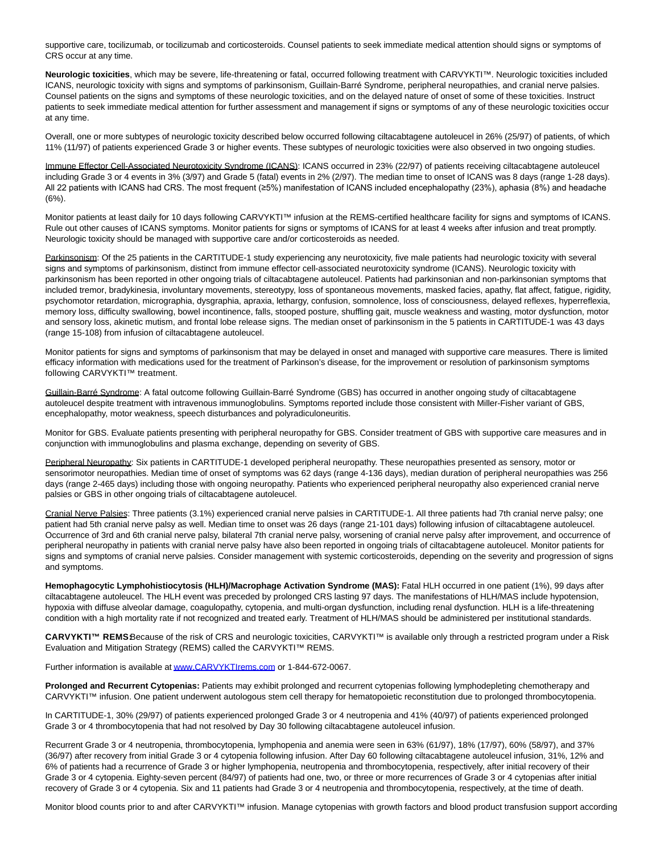supportive care, tocilizumab, or tocilizumab and corticosteroids. Counsel patients to seek immediate medical attention should signs or symptoms of CRS occur at any time.

**Neurologic toxicities**, which may be severe, life-threatening or fatal, occurred following treatment with CARVYKTI™. Neurologic toxicities included ICANS, neurologic toxicity with signs and symptoms of parkinsonism, Guillain-Barré Syndrome, peripheral neuropathies, and cranial nerve palsies. Counsel patients on the signs and symptoms of these neurologic toxicities, and on the delayed nature of onset of some of these toxicities. Instruct patients to seek immediate medical attention for further assessment and management if signs or symptoms of any of these neurologic toxicities occur at any time.

Overall, one or more subtypes of neurologic toxicity described below occurred following ciltacabtagene autoleucel in 26% (25/97) of patients, of which 11% (11/97) of patients experienced Grade 3 or higher events. These subtypes of neurologic toxicities were also observed in two ongoing studies.

Immune Effector Cell-Associated Neurotoxicity Syndrome (ICANS): ICANS occurred in 23% (22/97) of patients receiving ciltacabtagene autoleucel including Grade 3 or 4 events in 3% (3/97) and Grade 5 (fatal) events in 2% (2/97). The median time to onset of ICANS was 8 days (range 1-28 days). All 22 patients with ICANS had CRS. The most frequent (≥5%) manifestation of ICANS included encephalopathy (23%), aphasia (8%) and headache (6%).

Monitor patients at least daily for 10 days following CARVYKTI™ infusion at the REMS-certified healthcare facility for signs and symptoms of ICANS. Rule out other causes of ICANS symptoms. Monitor patients for signs or symptoms of ICANS for at least 4 weeks after infusion and treat promptly. Neurologic toxicity should be managed with supportive care and/or corticosteroids as needed.

Parkinsonism: Of the 25 patients in the CARTITUDE-1 study experiencing any neurotoxicity, five male patients had neurologic toxicity with several signs and symptoms of parkinsonism, distinct from immune effector cell-associated neurotoxicity syndrome (ICANS). Neurologic toxicity with parkinsonism has been reported in other ongoing trials of ciltacabtagene autoleucel. Patients had parkinsonian and non-parkinsonian symptoms that included tremor, bradykinesia, involuntary movements, stereotypy, loss of spontaneous movements, masked facies, apathy, flat affect, fatigue, rigidity, psychomotor retardation, micrographia, dysgraphia, apraxia, lethargy, confusion, somnolence, loss of consciousness, delayed reflexes, hyperreflexia, memory loss, difficulty swallowing, bowel incontinence, falls, stooped posture, shuffling gait, muscle weakness and wasting, motor dysfunction, motor and sensory loss, akinetic mutism, and frontal lobe release signs. The median onset of parkinsonism in the 5 patients in CARTITUDE-1 was 43 days (range 15-108) from infusion of ciltacabtagene autoleucel.

Monitor patients for signs and symptoms of parkinsonism that may be delayed in onset and managed with supportive care measures. There is limited efficacy information with medications used for the treatment of Parkinson's disease, for the improvement or resolution of parkinsonism symptoms following CARVYKTI™ treatment.

Guillain-Barré Syndrome: A fatal outcome following Guillain-Barré Syndrome (GBS) has occurred in another ongoing study of ciltacabtagene autoleucel despite treatment with intravenous immunoglobulins. Symptoms reported include those consistent with Miller-Fisher variant of GBS, encephalopathy, motor weakness, speech disturbances and polyradiculoneuritis.

Monitor for GBS. Evaluate patients presenting with peripheral neuropathy for GBS. Consider treatment of GBS with supportive care measures and in conjunction with immunoglobulins and plasma exchange, depending on severity of GBS.

Peripheral Neuropathy: Six patients in CARTITUDE-1 developed peripheral neuropathy. These neuropathies presented as sensory, motor or sensorimotor neuropathies. Median time of onset of symptoms was 62 days (range 4-136 days), median duration of peripheral neuropathies was 256 days (range 2-465 days) including those with ongoing neuropathy. Patients who experienced peripheral neuropathy also experienced cranial nerve palsies or GBS in other ongoing trials of ciltacabtagene autoleucel.

Cranial Nerve Palsies: Three patients (3.1%) experienced cranial nerve palsies in CARTITUDE-1. All three patients had 7th cranial nerve palsy; one patient had 5th cranial nerve palsy as well. Median time to onset was 26 days (range 21-101 days) following infusion of ciltacabtagene autoleucel. Occurrence of 3rd and 6th cranial nerve palsy, bilateral 7th cranial nerve palsy, worsening of cranial nerve palsy after improvement, and occurrence of peripheral neuropathy in patients with cranial nerve palsy have also been reported in ongoing trials of ciltacabtagene autoleucel. Monitor patients for signs and symptoms of cranial nerve palsies. Consider management with systemic corticosteroids, depending on the severity and progression of signs and symptoms.

Hemophagocytic Lymphohistiocytosis (HLH)/Macrophage Activation Syndrome (MAS): Fatal HLH occurred in one patient (1%), 99 days after ciltacabtagene autoleucel. The HLH event was preceded by prolonged CRS lasting 97 days. The manifestations of HLH/MAS include hypotension, hypoxia with diffuse alveolar damage, coagulopathy, cytopenia, and multi-organ dysfunction, including renal dysfunction. HLH is a life-threatening condition with a high mortality rate if not recognized and treated early. Treatment of HLH/MAS should be administered per institutional standards.

CARVYKTI<sup>™</sup> REMSBecause of the risk of CRS and neurologic toxicities, CARVYKTI<sup>™</sup> is available only through a restricted program under a Risk Evaluation and Mitigation Strategy (REMS) called the CARVYKTI™ REMS.

Further information is available a[t www.CARVYKTIrems.com o](https://cts.businesswire.com/ct/CT?id=smartlink&url=http%3A%2F%2Fwww.CARVYKTIrems.com&esheet=52587125&newsitemid=20220228006246&lan=en-US&anchor=www.CARVYKTIrems.com&index=3&md5=45626be50d94eebd6427a42c05d058bd)r 1-844-672-0067.

**Prolonged and Recurrent Cytopenias:** Patients may exhibit prolonged and recurrent cytopenias following lymphodepleting chemotherapy and CARVYKTI™ infusion. One patient underwent autologous stem cell therapy for hematopoietic reconstitution due to prolonged thrombocytopenia.

In CARTITUDE-1, 30% (29/97) of patients experienced prolonged Grade 3 or 4 neutropenia and 41% (40/97) of patients experienced prolonged Grade 3 or 4 thrombocytopenia that had not resolved by Day 30 following ciltacabtagene autoleucel infusion.

Recurrent Grade 3 or 4 neutropenia, thrombocytopenia, lymphopenia and anemia were seen in 63% (61/97), 18% (17/97), 60% (58/97), and 37% (36/97) after recovery from initial Grade 3 or 4 cytopenia following infusion. After Day 60 following ciltacabtagene autoleucel infusion, 31%, 12% and 6% of patients had a recurrence of Grade 3 or higher lymphopenia, neutropenia and thrombocytopenia, respectively, after initial recovery of their Grade 3 or 4 cytopenia. Eighty-seven percent (84/97) of patients had one, two, or three or more recurrences of Grade 3 or 4 cytopenias after initial recovery of Grade 3 or 4 cytopenia. Six and 11 patients had Grade 3 or 4 neutropenia and thrombocytopenia, respectively, at the time of death.

Monitor blood counts prior to and after CARVYKTI™ infusion. Manage cytopenias with growth factors and blood product transfusion support according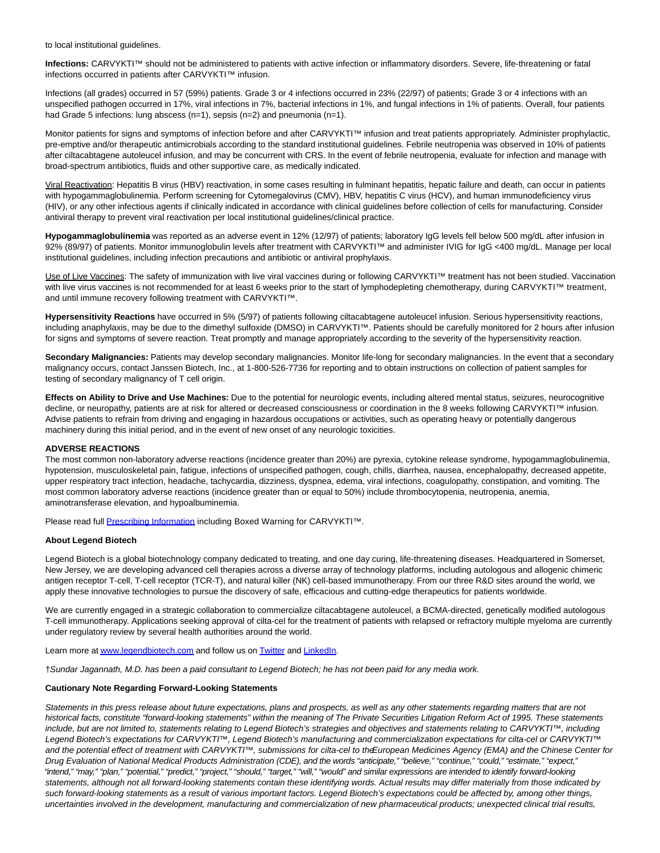to local institutional guidelines.

**Infections:** CARVYKTI™ should not be administered to patients with active infection or inflammatory disorders. Severe, life-threatening or fatal infections occurred in patients after CARVYKTI™ infusion.

Infections (all grades) occurred in 57 (59%) patients. Grade 3 or 4 infections occurred in 23% (22/97) of patients; Grade 3 or 4 infections with an unspecified pathogen occurred in 17%, viral infections in 7%, bacterial infections in 1%, and fungal infections in 1% of patients. Overall, four patients had Grade 5 infections: lung abscess (n=1), sepsis (n=2) and pneumonia (n=1).

Monitor patients for signs and symptoms of infection before and after CARVYKTI™ infusion and treat patients appropriately. Administer prophylactic, pre-emptive and/or therapeutic antimicrobials according to the standard institutional guidelines. Febrile neutropenia was observed in 10% of patients after ciltacabtagene autoleucel infusion, and may be concurrent with CRS. In the event of febrile neutropenia, evaluate for infection and manage with broad-spectrum antibiotics, fluids and other supportive care, as medically indicated.

Viral Reactivation: Hepatitis B virus (HBV) reactivation, in some cases resulting in fulminant hepatitis, hepatic failure and death, can occur in patients with hypogammaglobulinemia. Perform screening for Cytomegalovirus (CMV), HBV, hepatitis C virus (HCV), and human immunodeficiency virus (HIV), or any other infectious agents if clinically indicated in accordance with clinical guidelines before collection of cells for manufacturing. Consider antiviral therapy to prevent viral reactivation per local institutional guidelines/clinical practice.

**Hypogammaglobulinemia** was reported as an adverse event in 12% (12/97) of patients; laboratory IgG levels fell below 500 mg/dL after infusion in 92% (89/97) of patients. Monitor immunoglobulin levels after treatment with CARVYKTI™ and administer IVIG for IgG <400 mg/dL. Manage per local institutional guidelines, including infection precautions and antibiotic or antiviral prophylaxis.

Use of Live Vaccines: The safety of immunization with live viral vaccines during or following CARVYKTI™ treatment has not been studied. Vaccination with live virus vaccines is not recommended for at least 6 weeks prior to the start of lymphodepleting chemotherapy, during CARVYKTI™ treatment, and until immune recovery following treatment with CARVYKTI™.

**Hypersensitivity Reactions** have occurred in 5% (5/97) of patients following ciltacabtagene autoleucel infusion. Serious hypersensitivity reactions, including anaphylaxis, may be due to the dimethyl sulfoxide (DMSO) in CARVYKTI™. Patients should be carefully monitored for 2 hours after infusion for signs and symptoms of severe reaction. Treat promptly and manage appropriately according to the severity of the hypersensitivity reaction.

**Secondary Malignancies:** Patients may develop secondary malignancies. Monitor life-long for secondary malignancies. In the event that a secondary malignancy occurs, contact Janssen Biotech, Inc., at 1-800-526-7736 for reporting and to obtain instructions on collection of patient samples for testing of secondary malignancy of T cell origin.

**Effects on Ability to Drive and Use Machines:** Due to the potential for neurologic events, including altered mental status, seizures, neurocognitive decline, or neuropathy, patients are at risk for altered or decreased consciousness or coordination in the 8 weeks following CARVYKTI™ infusion. Advise patients to refrain from driving and engaging in hazardous occupations or activities, such as operating heavy or potentially dangerous machinery during this initial period, and in the event of new onset of any neurologic toxicities.

### **ADVERSE REACTIONS**

The most common non-laboratory adverse reactions (incidence greater than 20%) are pyrexia, cytokine release syndrome, hypogammaglobulinemia, hypotension, musculoskeletal pain, fatigue, infections of unspecified pathogen, cough, chills, diarrhea, nausea, encephalopathy, decreased appetite, upper respiratory tract infection, headache, tachycardia, dizziness, dyspnea, edema, viral infections, coagulopathy, constipation, and vomiting. The most common laboratory adverse reactions (incidence greater than or equal to 50%) include thrombocytopenia, neutropenia, anemia, aminotransferase elevation, and hypoalbuminemia.

Please read full [Prescribing Information i](https://cts.businesswire.com/ct/CT?id=smartlink&url=https%3A%2F%2Fwww.janssenlabels.com%2Fpackage-insert%2Fproduct-monograph%2Fprescribing-information%2FCARVYKTI-pi.pdf&esheet=52587125&newsitemid=20220228006246&lan=en-US&anchor=Prescribing+Information&index=4&md5=b6b85bc183be03fb3c55d29509b688b9)ncluding Boxed Warning for CARVYKTI™.

#### **About Legend Biotech**

Legend Biotech is a global biotechnology company dedicated to treating, and one day curing, life-threatening diseases. Headquartered in Somerset, New Jersey, we are developing advanced cell therapies across a diverse array of technology platforms, including autologous and allogenic chimeric antigen receptor T-cell, T-cell receptor (TCR-T), and natural killer (NK) cell-based immunotherapy. From our three R&D sites around the world, we apply these innovative technologies to pursue the discovery of safe, efficacious and cutting-edge therapeutics for patients worldwide.

We are currently engaged in a strategic collaboration to commercialize ciltacabtagene autoleucel, a BCMA-directed, genetically modified autologous T-cell immunotherapy. Applications seeking approval of cilta-cel for the treatment of patients with relapsed or refractory multiple myeloma are currently under regulatory review by several health authorities around the world.

Learn more a[t www.legendbiotech.com a](https://cts.businesswire.com/ct/CT?id=smartlink&url=https%3A%2F%2Fapc01.safelinks.protection.outlook.com%2F%3Furl%3Dhttps%253A%252F%252Furldefense.com%252Fv3%252F__http%253A%252Fwww.legendbiotech.com%252F__%253B%21%21Dahw-A9d0CA%21l_HBzc6uFFeUDuZZa9ZaL36SCN4RrVIMjWybRwXGmPMcCeXFMsUTZlHW7117Bv5v%2524%26data%3D04%257C01%257Ctina.carter%2540legendbiotech.com%257C16a4efa927f340b07f5408d9730bde94%257Cd55ad7adbf234f2cb95e1164d77114c9%257C0%257C0%257C637667317543128330%257CUnknown%257CTWFpbGZsb3d8eyJWIjoiMC4wLjAwMDAiLCJQIjoiV2luMzIiLCJBTiI6Ik1haWwiLCJXVCI6Mn0%253D%257C2000%26sdata%3DSGEIilDeN6oOC2e6jPKxF9s4UeP%252F7qYMPZCwABxs1GY%253D%26reserved%3D0&esheet=52587125&newsitemid=20220228006246&lan=en-US&anchor=www.legendbiotech.com&index=5&md5=3b3aeec552b7207fdf9d328233bdd216)nd follow us on [Twitter a](https://cts.businesswire.com/ct/CT?id=smartlink&url=https%3A%2F%2Fapc01.safelinks.protection.outlook.com%2F%3Furl%3Dhttps%253A%252F%252Furldefense.com%252Fv3%252F__https%253A%252Ftwitter.com%252Flegendbiotech%253Flang%253Den__%253B%21%21Dahw-A9d0CA%21l_HBzc6uFFeUDuZZa9ZaL36SCN4RrVIMjWybRwXGmPMcCeXFMsUTZlHW7-CeoCbi%2524%26data%3D04%257C01%257Ctina.carter%2540legendbiotech.com%257C16a4efa927f340b07f5408d9730bde94%257Cd55ad7adbf234f2cb95e1164d77114c9%257C0%257C0%257C637667317543138324%257CUnknown%257CTWFpbGZsb3d8eyJWIjoiMC4wLjAwMDAiLCJQIjoiV2luMzIiLCJBTiI6Ik1haWwiLCJXVCI6Mn0%253D%257C2000%26sdata%3DG67YvZwhP%252FqpNT70jcxhfJtkRBbttuYxLr1GRRXONFY%253D%26reserved%3D0&esheet=52587125&newsitemid=20220228006246&lan=en-US&anchor=Twitter&index=6&md5=cbaa775fa0b23db3c8a00750c86faa96)nd [LinkedIn.](https://cts.businesswire.com/ct/CT?id=smartlink&url=https%3A%2F%2Fapc01.safelinks.protection.outlook.com%2F%3Furl%3Dhttps%253A%252F%252Furldefense.com%252Fv3%252F__https%253A%252Fwww.linkedin.com%252Fcompany%252Flegendbiotechco.%252F__%253B%21%21Dahw-A9d0CA%21l_HBzc6uFFeUDuZZa9ZaL36SCN4RrVIMjWybRwXGmPMcCeXFMsUTZlHW7xWi5KQF%2524%26data%3D04%257C01%257Ctina.carter%2540legendbiotech.com%257C16a4efa927f340b07f5408d9730bde94%257Cd55ad7adbf234f2cb95e1164d77114c9%257C0%257C0%257C637667317543138324%257CUnknown%257CTWFpbGZsb3d8eyJWIjoiMC4wLjAwMDAiLCJQIjoiV2luMzIiLCJBTiI6Ik1haWwiLCJXVCI6Mn0%253D%257C2000%26sdata%3DrAaHW745AINa0fRJ5bSa9ANpUsQtVUxOPkh%252BsfS5lao%253D%26reserved%3D0&esheet=52587125&newsitemid=20220228006246&lan=en-US&anchor=LinkedIn&index=7&md5=379c98b553d16b33801186d8874dff9d)

†Sundar Jagannath, M.D. has been a paid consultant to Legend Biotech; he has not been paid for any media work.

#### **Cautionary Note Regarding Forward-Looking Statements**

Statements in this press release about future expectations, plans and prospects, as well as any other statements regarding matters that are not historical facts, constitute "forward-looking statements" within the meaning of The Private Securities Litigation Reform Act of 1995. These statements include, but are not limited to, statements relating to Legend Biotech's strategies and objectives and statements relating to CARVYKTI™, including Legend Biotech's expectations for CARVYKTI™, Legend Biotech's manufacturing and commercialization expectations for cilta-cel or CARVYKTI™ and the potential effect of treatment with CARVYKTI™, submissions for cilta-cel to the European Medicines Agency (EMA) and the Chinese Center for Drug Evaluation of National Medical Products Administration (CDE), and the words "anticipate," "believe," "continue," "could," "estimate," "expect," "intend," "may," "plan," "potential," "predict," "project," "should," "target," "will," "would" and similar expressions are intended to identify forward-looking statements, although not all forward-looking statements contain these identifying words. Actual results may differ materially from those indicated by such forward-looking statements as a result of various important factors. Legend Biotech's expectations could be affected by, among other things, uncertainties involved in the development, manufacturing and commercialization of new pharmaceutical products; unexpected clinical trial results,